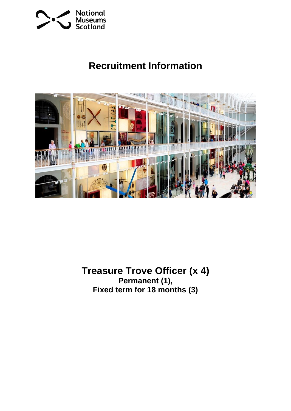

# **Recruitment Information**



**Treasure Trove Officer (x 4) Permanent (1), Fixed term for 18 months (3)**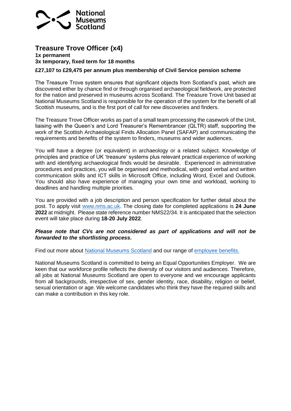

## **Treasure Trove Officer (x4)**

#### **1x permanent 3x temporary, fixed term for 18 months**

#### **£27,107 to £29,475 per annum plus membership of Civil Service pension scheme**

The Treasure Trove system ensures that significant objects from Scotland's past, which are discovered either by chance find or through organised archaeological fieldwork, are protected for the nation and preserved in museums across Scotland. The Treasure Trove Unit based at National Museums Scotland is responsible for the operation of the system for the benefit of all Scottish museums, and is the first port of call for new discoveries and finders.

The Treasure Trove Officer works as part of a small team processing the casework of the Unit, liaising with the Queen's and Lord Treasurer's Remembrancer (QLTR) staff, supporting the work of the Scottish Archaeological Finds Allocation Panel (SAFAP) and communicating the requirements and benefits of the system to finders, museums and wider audiences.

You will have a degree (or equivalent) in archaeology or a related subject. Knowledge of principles and practice of UK 'treasure' systems plus relevant practical experience of working with and identifying archaeological finds would be desirable. Experienced in administrative procedures and practices, you will be organised and methodical, with good verbal and written communication skills and ICT skills in Microsoft Office, including Word, Excel and Outlook. You should also have experience of managing your own time and workload, working to deadlines and handling multiple priorities.

You are provided with a job description and person specification for further detail about the post. To apply visit [www.nms.ac.uk.](http://www.nms.ac.uk/) The closing date for completed applications is **24 June 2022** at midnight.Please state reference number NMS22/34. It is anticipated that the selection event will take place during **18-20 July 2022**.

#### *Please note that CVs are not considered as part of applications and will not be forwarded to the shortlisting process***.**

Find out more about [National Museums Scotland](https://vacancies.nms.ac.uk/Home.aspx?MenuID=MOsYGY6MrVw=) and our range of [employee benefits.](https://vacancies.nms.ac.uk/Home.aspx?MenuID=Qj5T8CANy0Q=) 

National Museums Scotland is committed to being an Equal Opportunities Employer. We are keen that our workforce profile reflects the diversity of our visitors and audiences. Therefore, all jobs at National Museums Scotland are open to everyone and we encourage applicants from all backgrounds, irrespective of sex, gender identity, race, disability, religion or belief, sexual orientation or age. We welcome candidates who think they have the required skills and can make a contribution in this key role.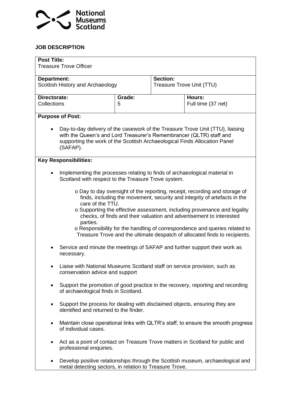

### **JOB DESCRIPTION**

| <b>Post Title:</b><br><b>Treasure Trove Officer</b>                                                                                                                                                                                            |                                                                                                                                           |        |                           |                                                                                                                                                                                                                                                                                                                                                                                                                                                                         |
|------------------------------------------------------------------------------------------------------------------------------------------------------------------------------------------------------------------------------------------------|-------------------------------------------------------------------------------------------------------------------------------------------|--------|---------------------------|-------------------------------------------------------------------------------------------------------------------------------------------------------------------------------------------------------------------------------------------------------------------------------------------------------------------------------------------------------------------------------------------------------------------------------------------------------------------------|
| Department:                                                                                                                                                                                                                                    |                                                                                                                                           |        | Section:                  |                                                                                                                                                                                                                                                                                                                                                                                                                                                                         |
| Scottish History and Archaeology                                                                                                                                                                                                               |                                                                                                                                           |        | Treasure Trove Unit (TTU) |                                                                                                                                                                                                                                                                                                                                                                                                                                                                         |
| Directorate:                                                                                                                                                                                                                                   |                                                                                                                                           | Grade: |                           | Hours:                                                                                                                                                                                                                                                                                                                                                                                                                                                                  |
| Collections                                                                                                                                                                                                                                    |                                                                                                                                           | 5      |                           | Full time (37 net)                                                                                                                                                                                                                                                                                                                                                                                                                                                      |
|                                                                                                                                                                                                                                                | <b>Purpose of Post:</b>                                                                                                                   |        |                           |                                                                                                                                                                                                                                                                                                                                                                                                                                                                         |
| Day-to-day delivery of the casework of the Treasure Trove Unit (TTU), liaising<br>with the Queen's and Lord Treasurer's Remembrancer (QLTR) staff and<br>supporting the work of the Scottish Archaeological Finds Allocation Panel<br>(SAFAP). |                                                                                                                                           |        |                           |                                                                                                                                                                                                                                                                                                                                                                                                                                                                         |
|                                                                                                                                                                                                                                                | <b>Key Responsibilities:</b>                                                                                                              |        |                           |                                                                                                                                                                                                                                                                                                                                                                                                                                                                         |
|                                                                                                                                                                                                                                                | Implementing the processes relating to finds of archaeological material in<br>Scotland with respect to the Treasure Trove system.         |        |                           |                                                                                                                                                                                                                                                                                                                                                                                                                                                                         |
|                                                                                                                                                                                                                                                | care of the TTU.<br>parties.                                                                                                              |        |                           | o Day to day oversight of the reporting, receipt, recording and storage of<br>finds, including the movement, security and integrity of artefacts in the<br>o Supporting the effective assessment, including provenance and legality<br>checks, of finds and their valuation and advertisement to interested<br>o Responsibility for the handling of correspondence and queries related to<br>Treasure Trove and the ultimate despatch of allocated finds to recipients. |
|                                                                                                                                                                                                                                                | Service and minute the meetings of SAFAP and further support their work as<br>necessary.                                                  |        |                           |                                                                                                                                                                                                                                                                                                                                                                                                                                                                         |
|                                                                                                                                                                                                                                                | Liaise with National Museums Scotland staff on service provision, such as<br>conservation advice and support                              |        |                           |                                                                                                                                                                                                                                                                                                                                                                                                                                                                         |
| $\bullet$                                                                                                                                                                                                                                      | Support the promotion of good practice in the recovery, reporting and recording<br>of archaeological finds in Scotland.                   |        |                           |                                                                                                                                                                                                                                                                                                                                                                                                                                                                         |
| ٠                                                                                                                                                                                                                                              | Support the process for dealing with disclaimed objects, ensuring they are<br>identified and returned to the finder.                      |        |                           |                                                                                                                                                                                                                                                                                                                                                                                                                                                                         |
| ٠                                                                                                                                                                                                                                              | Maintain close operational links with QLTR's staff, to ensure the smooth progress<br>of individual cases.                                 |        |                           |                                                                                                                                                                                                                                                                                                                                                                                                                                                                         |
| ٠                                                                                                                                                                                                                                              | Act as a point of contact on Treasure Trove matters in Scotland for public and<br>professional enquiries.                                 |        |                           |                                                                                                                                                                                                                                                                                                                                                                                                                                                                         |
| $\bullet$                                                                                                                                                                                                                                      | Develop positive relationships through the Scottish museum, archaeological and<br>metal detecting sectors, in relation to Treasure Trove. |        |                           |                                                                                                                                                                                                                                                                                                                                                                                                                                                                         |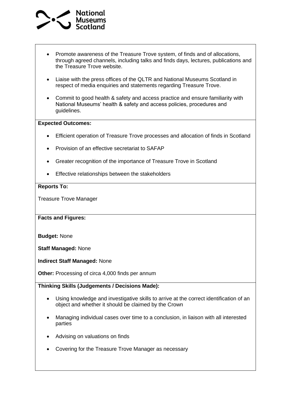

- Promote awareness of the Treasure Trove system, of finds and of allocations, through agreed channels, including talks and finds days, lectures, publications and the Treasure Trove website.
- Liaise with the press offices of the QLTR and National Museums Scotland in respect of media enquiries and statements regarding Treasure Trove.
- Commit to good health & safety and access practice and ensure familiarity with National Museums' health & safety and access policies, procedures and guidelines.

#### **Expected Outcomes:**

- Efficient operation of Treasure Trove processes and allocation of finds in Scotland
- Provision of an effective secretariat to SAFAP
- Greater recognition of the importance of Treasure Trove in Scotland
- Effective relationships between the stakeholders

#### **Reports To:**

Treasure Trove Manager

**Facts and Figures:** 

**Budget:** None

**Staff Managed:** None

**Indirect Staff Managed:** None

**Other:** Processing of circa 4,000 finds per annum

**Thinking Skills (Judgements / Decisions Made):**

- Using knowledge and investigative skills to arrive at the correct identification of an object and whether it should be claimed by the Crown
- Managing individual cases over time to a conclusion, in liaison with all interested parties
- Advising on valuations on finds
- Covering for the Treasure Trove Manager as necessary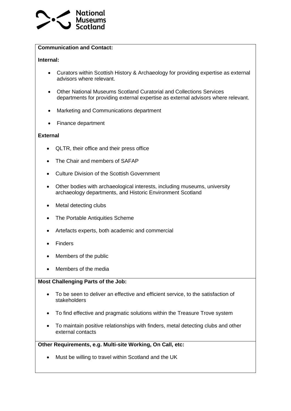

### **Communication and Contact:**

### **Internal:**

- Curators within Scottish History & Archaeology for providing expertise as external advisors where relevant.
- Other National Museums Scotland Curatorial and Collections Services departments for providing external expertise as external advisors where relevant.
- Marketing and Communications department
- Finance department

### **External**

- QLTR, their office and their press office
- The Chair and members of SAFAP
- Culture Division of the Scottish Government
- Other bodies with archaeological interests, including museums, university archaeology departments, and Historic Environment Scotland
- Metal detecting clubs
- The Portable Antiquities Scheme
- Artefacts experts, both academic and commercial
- Finders
- Members of the public
- Members of the media

### **Most Challenging Parts of the Job:**

- To be seen to deliver an effective and efficient service, to the satisfaction of stakeholders
- To find effective and pragmatic solutions within the Treasure Trove system
- To maintain positive relationships with finders, metal detecting clubs and other external contacts

### **Other Requirements, e.g. Multi-site Working, On Call, etc:**

• Must be willing to travel within Scotland and the UK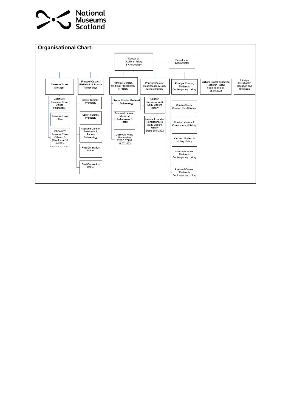

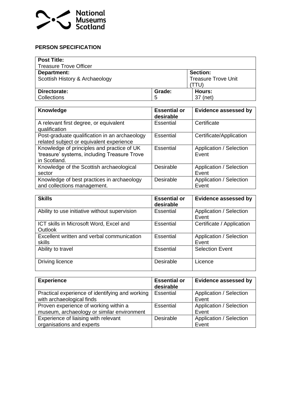

### **PERSON SPECIFICATION**

| <b>Post Title:</b>             |        |                            |  |
|--------------------------------|--------|----------------------------|--|
| <b>Treasure Trove Officer</b>  |        |                            |  |
| Department:                    |        | <b>Section:</b>            |  |
| Scottish History & Archaeology |        | <b>Treasure Trove Unit</b> |  |
|                                |        | TTU'                       |  |
| Directorate:                   | Grade: | Hours:                     |  |
| Collections                    | 5      | 37 (net)                   |  |

| Knowledge                                                                                                  | <b>Essential or</b><br>desirable | <b>Evidence assessed by</b>      |
|------------------------------------------------------------------------------------------------------------|----------------------------------|----------------------------------|
| A relevant first degree, or equivalent<br>qualification                                                    | Essential                        | Certificate                      |
| Post-graduate qualification in an archaeology<br>related subject or equivalent experience                  | Essential                        | Certificate/Application          |
| Knowledge of principles and practice of UK<br>'treasure' systems, including Treasure Trove<br>in Scotland. | Essential                        | Application / Selection<br>Event |
| Knowledge of the Scottish archaeological<br>sector                                                         | <b>Desirable</b>                 | Application / Selection<br>Event |
| Knowledge of best practices in archaeology<br>and collections management.                                  | Desirable                        | Application / Selection<br>Event |

| <b>Skills</b>                                        | <b>Essential or</b><br>desirable | <b>Evidence assessed by</b>      |
|------------------------------------------------------|----------------------------------|----------------------------------|
| Ability to use initiative without supervision        | Essential                        | Application / Selection<br>Event |
| ICT skills in Microsoft Word, Excel and<br>Outlook   | Essential                        | Certificate / Application        |
| Excellent written and verbal communication<br>skills | Essential                        | Application / Selection<br>Event |
| Ability to travel                                    | Essential                        | <b>Selection Event</b>           |
| Driving licence                                      | Desirable                        | Licence                          |

| <b>Experience</b>                               | <b>Essential or</b><br>desirable | <b>Evidence assessed by</b> |
|-------------------------------------------------|----------------------------------|-----------------------------|
| Practical experience of identifying and working | Essential                        | Application / Selection     |
| with archaeological finds                       |                                  | Event                       |
| Proven experience of working within a           | Essential                        | Application / Selection     |
| museum, archaeology or similar environment      |                                  | Event                       |
| Experience of liaising with relevant            | <b>Desirable</b>                 | Application / Selection     |
| organisations and experts                       |                                  | Event                       |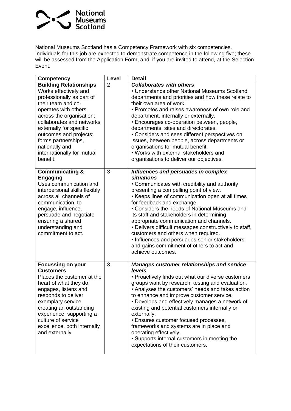

National Museums Scotland has a Competency Framework with six competencies. Individuals for this job are expected to demonstrate competence in the following five; these will be assessed from the Application Form, and, if you are invited to attend, at the Selection Event.

| <b>Competency</b>                                                                                                                                                                                                                                                                                                                  | <b>Level</b>   | <b>Detail</b>                                                                                                                                                                                                                                                                                                                                                                                                                                                                                                                                                                                       |
|------------------------------------------------------------------------------------------------------------------------------------------------------------------------------------------------------------------------------------------------------------------------------------------------------------------------------------|----------------|-----------------------------------------------------------------------------------------------------------------------------------------------------------------------------------------------------------------------------------------------------------------------------------------------------------------------------------------------------------------------------------------------------------------------------------------------------------------------------------------------------------------------------------------------------------------------------------------------------|
| <b>Building Relationships</b><br>Works effectively and<br>professionally as part of<br>their team and co-<br>operates with others<br>across the organisation;<br>collaborates and networks<br>externally for specific<br>outcomes and projects;<br>forms partnerships,<br>nationally and<br>internationally for mutual<br>benefit. | $\overline{2}$ | <b>Collaborates with others</b><br>• Understands other National Museums Scotland<br>departments and priorities and how these relate to<br>their own area of work.<br>• Promotes and raises awareness of own role and<br>department, internally or externally.<br>• Encourages co-operation between, people,<br>departments, sites and directorates.<br>• Considers and sees different perspectives on<br>issues, between people, across departments or<br>organisations for mutual benefit.<br>• Works with external stakeholders and<br>organisations to deliver our objectives.                   |
| <b>Communicating &amp;</b><br><b>Engaging</b><br>Uses communication and<br>interpersonal skills flexibly<br>across all channels of<br>communication, to<br>engage, influence,<br>persuade and negotiate<br>ensuring a shared<br>understanding and<br>commitment to act.                                                            | 3              | Influences and persuades in complex<br><b>situations</b><br>• Communicates with credibility and authority<br>presenting a compelling point of view.<br>• Keeps lines of communication open at all times<br>for feedback and exchange.<br>• Considers the needs of National Museums and<br>its staff and stakeholders in determining<br>appropriate communication and channels.<br>• Delivers difficult messages constructively to staff,<br>customers and others when required.<br>• Influences and persuades senior stakeholders<br>and gains commitment of others to act and<br>achieve outcomes. |
| <b>Focussing on your</b><br><b>Customers</b><br>Places the customer at the<br>heart of what they do,<br>engages, listens and<br>responds to deliver<br>exemplary service,<br>creating an outstanding<br>experience; supporting a<br>culture of service<br>excellence, both internally<br>and externally.                           | 3              | <b>Manages customer relationships and service</b><br>levels<br>• Proactively finds out what our diverse customers<br>groups want by research, testing and evaluation.<br>• Analyses the customers' needs and takes action<br>to enhance and improve customer service.<br>• Develops and effectively manages a network of<br>existing and potential customers internally or<br>externally.<br>• Ensures customer focused processes,<br>frameworks and systems are in place and<br>operating effectively.<br>• Supports internal customers in meeting the<br>expectations of their customers.         |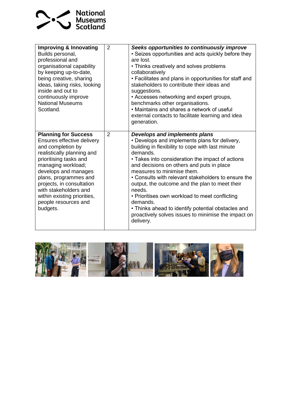

| <b>Improving &amp; Innovating</b><br>Builds personal,<br>professional and<br>organisational capability<br>by keeping up-to-date,<br>being creative, sharing<br>ideas, taking risks, looking<br>inside and out to<br>continuously improve<br><b>National Museums</b><br>Scotland.                                                       | 2              | Seeks opportunities to continuously improve<br>• Seizes opportunities and acts quickly before they<br>are lost.<br>• Thinks creatively and solves problems<br>collaboratively<br>• Facilitates and plans in opportunities for staff and<br>stakeholders to contribute their ideas and<br>suggestions.<br>• Accesses networking and expert groups,<br>benchmarks other organisations.<br>• Maintains and shares a network of useful<br>external contacts to facilitate learning and idea<br>generation.                                                                                   |
|----------------------------------------------------------------------------------------------------------------------------------------------------------------------------------------------------------------------------------------------------------------------------------------------------------------------------------------|----------------|------------------------------------------------------------------------------------------------------------------------------------------------------------------------------------------------------------------------------------------------------------------------------------------------------------------------------------------------------------------------------------------------------------------------------------------------------------------------------------------------------------------------------------------------------------------------------------------|
| <b>Planning for Success</b><br>Ensures effective delivery<br>and completion by<br>realistically planning and<br>prioritising tasks and<br>managing workload;<br>develops and manages<br>plans, programmes and<br>projects, in consultation<br>with stakeholders and<br>within existing priorities,<br>people resources and<br>budgets. | $\overline{2}$ | Develops and implements plans<br>• Develops and implements plans for delivery,<br>building in flexibility to cope with last minute<br>demands.<br>• Takes into consideration the impact of actions<br>and decisions on others and puts in place<br>measures to minimise them.<br>• Consults with relevant stakeholders to ensure the<br>output, the outcome and the plan to meet their<br>needs.<br>• Prioritises own workload to meet conflicting<br>demands.<br>• Thinks ahead to identify potential obstacles and<br>proactively solves issues to minimise the impact on<br>delivery. |